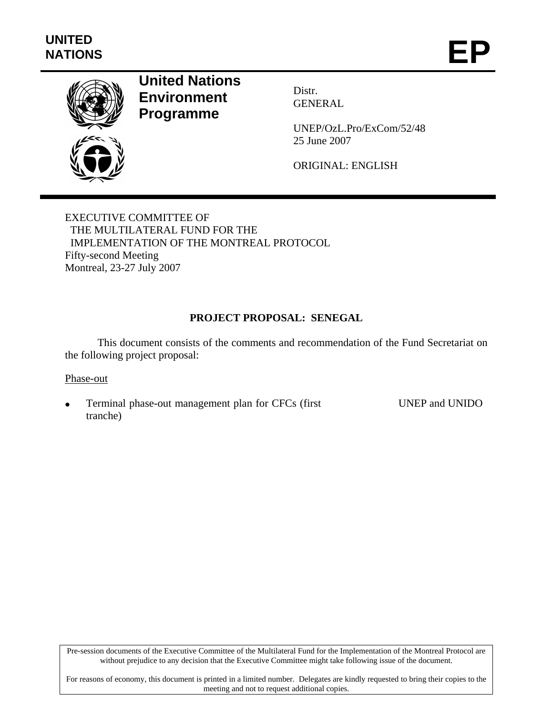

# **United Nations Environment Programme**

Distr. GENERAL

UNEP/OzL.Pro/ExCom/52/48 25 June 2007

ORIGINAL: ENGLISH

EXECUTIVE COMMITTEE OF THE MULTILATERAL FUND FOR THE IMPLEMENTATION OF THE MONTREAL PROTOCOL Fifty-second Meeting Montreal, 23-27 July 2007

# **PROJECT PROPOSAL: SENEGAL**

This document consists of the comments and recommendation of the Fund Secretariat on the following project proposal:

#### Phase-out

• Terminal phase-out management plan for CFCs (first tranche)

UNEP and UNIDO

Pre-session documents of the Executive Committee of the Multilateral Fund for the Implementation of the Montreal Protocol are without prejudice to any decision that the Executive Committee might take following issue of the document.

For reasons of economy, this document is printed in a limited number. Delegates are kindly requested to bring their copies to the meeting and not to request additional copies.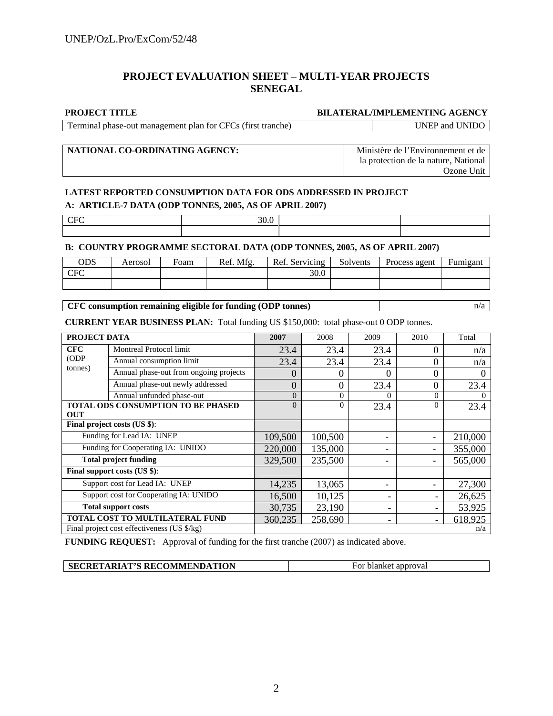## **PROJECT EVALUATION SHEET – MULTI-YEAR PROJECTS SENEGAL**

#### **PROJECT TITLE BILATERAL/IMPLEMENTING AGENCY**

Terminal phase-out management plan for CFCs (first tranche) UNEP and UNIDO

## **NATIONAL CO-ORDINATING AGENCY:** Ministère de l'Environnement et de

la protection de la nature, National Ozone Unit

## **LATEST REPORTED CONSUMPTION DATA FOR ODS ADDRESSED IN PROJECT A: ARTICLE-7 DATA (ODP TONNES, 2005, AS OF APRIL 2007)**

 $CFC$  30.0

#### **B: COUNTRY PROGRAMME SECTORAL DATA (ODP TONNES, 2005, AS OF APRIL 2007)**

| ODS             | Aerosol | Foam | Ref. Mfg. | Ref. Servicing | Solvents | Process agent | Fumigant |
|-----------------|---------|------|-----------|----------------|----------|---------------|----------|
| C <sub>CT</sub> |         |      |           | 30.0           |          |               |          |
|                 |         |      |           |                |          |               |          |

## **CFC consumption remaining eligible for funding (ODP tonnes)** n/a

**CURRENT YEAR BUSINESS PLAN:** Total funding US \$150,000: total phase-out 0 ODP tonnes.

|                                        | PROJECT DATA                                |                | 2008     | 2009     | 2010     | Total    |
|----------------------------------------|---------------------------------------------|----------------|----------|----------|----------|----------|
| <b>CFC</b>                             | Montreal Protocol limit                     | 23.4           | 23.4     | 23.4     | 0        | n/a      |
| (ODP)                                  | Annual consumption limit                    | 23.4           | 23.4     | 23.4     | 0        | n/a      |
| tonnes)                                | Annual phase-out from ongoing projects      | 0              | 0        | $\Omega$ | 0        | $\Omega$ |
|                                        | Annual phase-out newly addressed            | $\overline{0}$ | 0        | 23.4     | 0        | 23.4     |
|                                        | Annual unfunded phase-out                   | $\theta$       | $\Omega$ | $\Omega$ | $\Omega$ | $\Omega$ |
|                                        | TOTAL ODS CONSUMPTION TO BE PHASED          | $\overline{0}$ | $\Omega$ | 23.4     | 0        | 23.4     |
| <b>OUT</b>                             |                                             |                |          |          |          |          |
|                                        | Final project costs (US \$):                |                |          |          |          |          |
|                                        | Funding for Lead IA: UNEP                   | 109,500        | 100,500  |          |          | 210,000  |
|                                        | Funding for Cooperating IA: UNIDO           | 220,000        | 135,000  |          |          | 355,000  |
|                                        | <b>Total project funding</b>                | 329,500        | 235,500  |          |          | 565,000  |
|                                        | Final support costs (US \$):                |                |          |          |          |          |
|                                        | Support cost for Lead IA: UNEP              | 14,235         | 13,065   |          |          | 27,300   |
| Support cost for Cooperating IA: UNIDO |                                             | 16,500         | 10,125   |          |          | 26,625   |
| <b>Total support costs</b>             |                                             | 30,735         | 23,190   |          |          | 53,925   |
| TOTAL COST TO MULTILATERAL FUND        |                                             | 360,235        | 258,690  |          |          | 618,925  |
|                                        | Final project cost effectiveness (US \$/kg) |                |          |          |          | n/a      |

**FUNDING REQUEST:** Approval of funding for the first tranche (2007) as indicated above.

| SECRETARIAT'S RECOMMENDATION | For blanket approval |
|------------------------------|----------------------|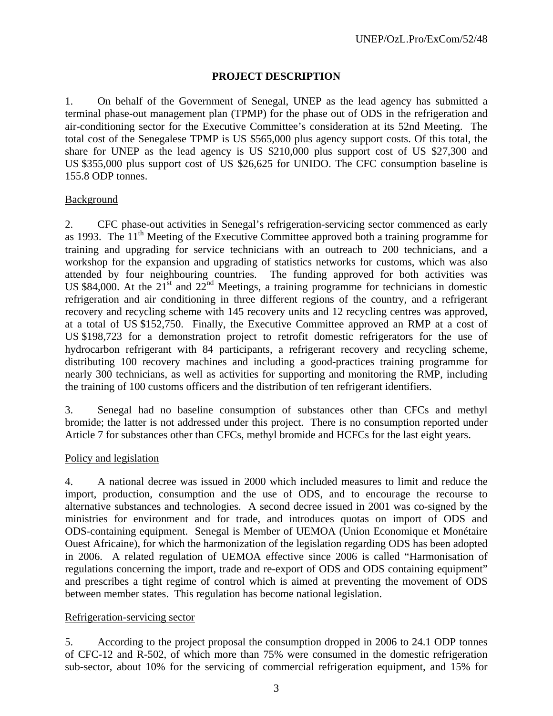## **PROJECT DESCRIPTION**

1. On behalf of the Government of Senegal, UNEP as the lead agency has submitted a terminal phase-out management plan (TPMP) for the phase out of ODS in the refrigeration and air-conditioning sector for the Executive Committee's consideration at its 52nd Meeting. The total cost of the Senegalese TPMP is US \$565,000 plus agency support costs. Of this total, the share for UNEP as the lead agency is US \$210,000 plus support cost of US \$27,300 and US \$355,000 plus support cost of US \$26,625 for UNIDO. The CFC consumption baseline is 155.8 ODP tonnes.

## Background

2. CFC phase-out activities in Senegal's refrigeration-servicing sector commenced as early as 1993. The 11<sup>th</sup> Meeting of the Executive Committee approved both a training programme for training and upgrading for service technicians with an outreach to 200 technicians, and a workshop for the expansion and upgrading of statistics networks for customs, which was also attended by four neighbouring countries. The funding approved for both activities was US \$84,000. At the  $21^{\text{st}}$  and  $22^{\text{nd}}$  Meetings, a training programme for technicians in domestic refrigeration and air conditioning in three different regions of the country, and a refrigerant recovery and recycling scheme with 145 recovery units and 12 recycling centres was approved, at a total of US \$152,750. Finally, the Executive Committee approved an RMP at a cost of US \$198,723 for a demonstration project to retrofit domestic refrigerators for the use of hydrocarbon refrigerant with 84 participants, a refrigerant recovery and recycling scheme, distributing 100 recovery machines and including a good-practices training programme for nearly 300 technicians, as well as activities for supporting and monitoring the RMP, including the training of 100 customs officers and the distribution of ten refrigerant identifiers.

3. Senegal had no baseline consumption of substances other than CFCs and methyl bromide; the latter is not addressed under this project. There is no consumption reported under Article 7 for substances other than CFCs, methyl bromide and HCFCs for the last eight years.

## Policy and legislation

4. A national decree was issued in 2000 which included measures to limit and reduce the import, production, consumption and the use of ODS, and to encourage the recourse to alternative substances and technologies. A second decree issued in 2001 was co-signed by the ministries for environment and for trade, and introduces quotas on import of ODS and ODS-containing equipment. Senegal is Member of UEMOA (Union Economique et Monétaire Ouest Africaine), for which the harmonization of the legislation regarding ODS has been adopted in 2006. A related regulation of UEMOA effective since 2006 is called "Harmonisation of regulations concerning the import, trade and re-export of ODS and ODS containing equipment" and prescribes a tight regime of control which is aimed at preventing the movement of ODS between member states. This regulation has become national legislation.

## Refrigeration-servicing sector

5. According to the project proposal the consumption dropped in 2006 to 24.1 ODP tonnes of CFC-12 and R-502, of which more than 75% were consumed in the domestic refrigeration sub-sector, about 10% for the servicing of commercial refrigeration equipment, and 15% for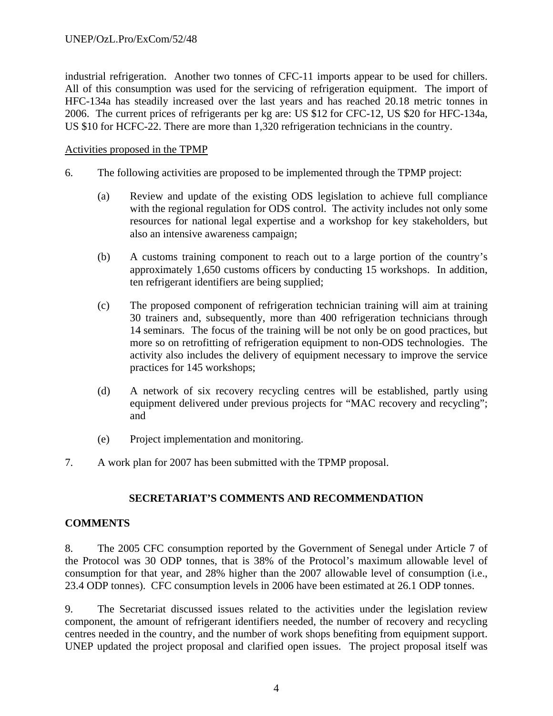industrial refrigeration. Another two tonnes of CFC-11 imports appear to be used for chillers. All of this consumption was used for the servicing of refrigeration equipment. The import of HFC-134a has steadily increased over the last years and has reached 20.18 metric tonnes in 2006. The current prices of refrigerants per kg are: US \$12 for CFC-12, US \$20 for HFC-134a, US \$10 for HCFC-22. There are more than 1,320 refrigeration technicians in the country.

## Activities proposed in the TPMP

- 6. The following activities are proposed to be implemented through the TPMP project:
	- (a) Review and update of the existing ODS legislation to achieve full compliance with the regional regulation for ODS control. The activity includes not only some resources for national legal expertise and a workshop for key stakeholders, but also an intensive awareness campaign;
	- (b) A customs training component to reach out to a large portion of the country's approximately 1,650 customs officers by conducting 15 workshops. In addition, ten refrigerant identifiers are being supplied;
	- (c) The proposed component of refrigeration technician training will aim at training 30 trainers and, subsequently, more than 400 refrigeration technicians through 14 seminars. The focus of the training will be not only be on good practices, but more so on retrofitting of refrigeration equipment to non-ODS technologies. The activity also includes the delivery of equipment necessary to improve the service practices for 145 workshops;
	- (d) A network of six recovery recycling centres will be established, partly using equipment delivered under previous projects for "MAC recovery and recycling"; and
	- (e) Project implementation and monitoring.
- 7. A work plan for 2007 has been submitted with the TPMP proposal.

# **SECRETARIAT'S COMMENTS AND RECOMMENDATION**

# **COMMENTS**

8. The 2005 CFC consumption reported by the Government of Senegal under Article 7 of the Protocol was 30 ODP tonnes, that is 38% of the Protocol's maximum allowable level of consumption for that year, and 28% higher than the 2007 allowable level of consumption (i.e., 23.4 ODP tonnes). CFC consumption levels in 2006 have been estimated at 26.1 ODP tonnes.

9. The Secretariat discussed issues related to the activities under the legislation review component, the amount of refrigerant identifiers needed, the number of recovery and recycling centres needed in the country, and the number of work shops benefiting from equipment support. UNEP updated the project proposal and clarified open issues. The project proposal itself was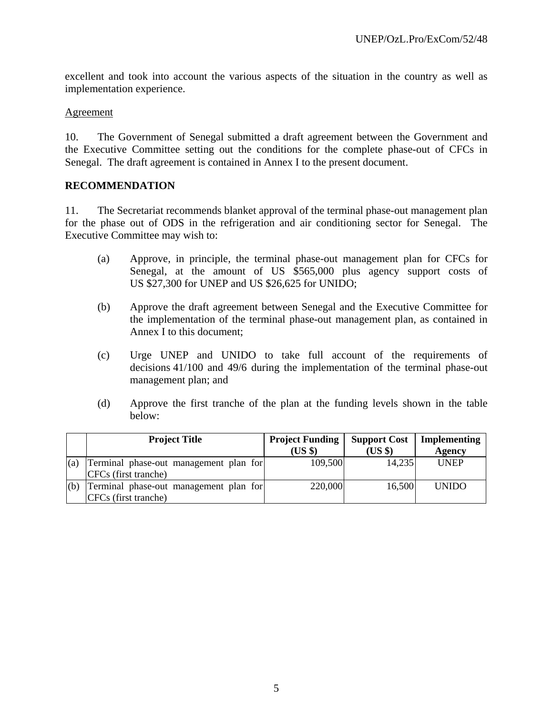excellent and took into account the various aspects of the situation in the country as well as implementation experience.

## Agreement

10. The Government of Senegal submitted a draft agreement between the Government and the Executive Committee setting out the conditions for the complete phase-out of CFCs in Senegal. The draft agreement is contained in Annex I to the present document.

## **RECOMMENDATION**

11. The Secretariat recommends blanket approval of the terminal phase-out management plan for the phase out of ODS in the refrigeration and air conditioning sector for Senegal. The Executive Committee may wish to:

- (a) Approve, in principle, the terminal phase-out management plan for CFCs for Senegal, at the amount of US \$565,000 plus agency support costs of US \$27,300 for UNEP and US \$26,625 for UNIDO;
- (b) Approve the draft agreement between Senegal and the Executive Committee for the implementation of the terminal phase-out management plan, as contained in Annex I to this document;
- (c) Urge UNEP and UNIDO to take full account of the requirements of decisions 41/100 and 49/6 during the implementation of the terminal phase-out management plan; and
- (d) Approve the first tranche of the plan at the funding levels shown in the table below:

|     | <b>Project Title</b>                                           | <b>Project Funding</b><br>(USS) | <b>Support Cost</b><br>$(US \$ | Implementing<br><b>Agency</b> |
|-----|----------------------------------------------------------------|---------------------------------|--------------------------------|-------------------------------|
| (a) | Terminal phase-out management plan for<br>CFCs (first tranche) | 109,500                         | 14,235                         | <b>UNEP</b>                   |
| (b) | Terminal phase-out management plan for<br>CFCs (first tranche) | 220,000                         | 16,500                         | <b>UNIDO</b>                  |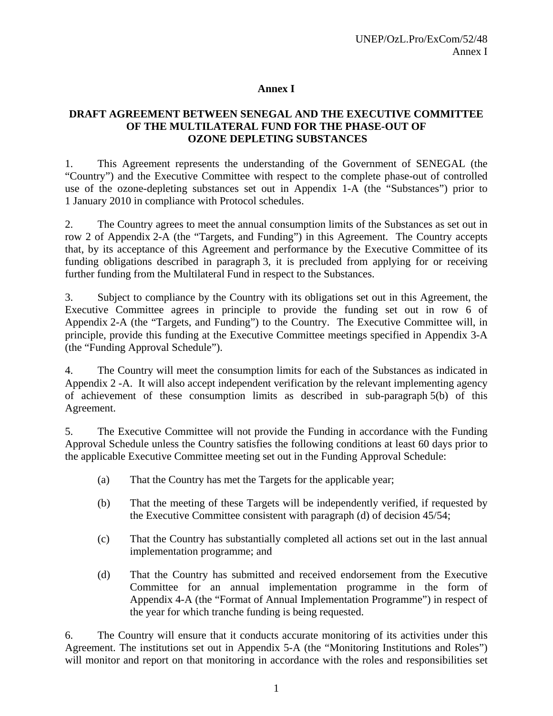## **Annex I**

# **DRAFT AGREEMENT BETWEEN SENEGAL AND THE EXECUTIVE COMMITTEE OF THE MULTILATERAL FUND FOR THE PHASE-OUT OF OZONE DEPLETING SUBSTANCES**

1. This Agreement represents the understanding of the Government of SENEGAL (the "Country") and the Executive Committee with respect to the complete phase-out of controlled use of the ozone-depleting substances set out in Appendix 1-A (the "Substances") prior to 1 January 2010 in compliance with Protocol schedules.

2. The Country agrees to meet the annual consumption limits of the Substances as set out in row 2 of Appendix 2-A (the "Targets, and Funding") in this Agreement. The Country accepts that, by its acceptance of this Agreement and performance by the Executive Committee of its funding obligations described in paragraph 3, it is precluded from applying for or receiving further funding from the Multilateral Fund in respect to the Substances.

3. Subject to compliance by the Country with its obligations set out in this Agreement, the Executive Committee agrees in principle to provide the funding set out in row 6 of Appendix 2-A (the "Targets, and Funding") to the Country. The Executive Committee will, in principle, provide this funding at the Executive Committee meetings specified in Appendix 3-A (the "Funding Approval Schedule").

4. The Country will meet the consumption limits for each of the Substances as indicated in Appendix 2 -A. It will also accept independent verification by the relevant implementing agency of achievement of these consumption limits as described in sub-paragraph 5(b) of this Agreement.

5. The Executive Committee will not provide the Funding in accordance with the Funding Approval Schedule unless the Country satisfies the following conditions at least 60 days prior to the applicable Executive Committee meeting set out in the Funding Approval Schedule:

- (a) That the Country has met the Targets for the applicable year;
- (b) That the meeting of these Targets will be independently verified, if requested by the Executive Committee consistent with paragraph (d) of decision 45/54;
- (c) That the Country has substantially completed all actions set out in the last annual implementation programme; and
- (d) That the Country has submitted and received endorsement from the Executive Committee for an annual implementation programme in the form of Appendix 4-A (the "Format of Annual Implementation Programme") in respect of the year for which tranche funding is being requested.

6. The Country will ensure that it conducts accurate monitoring of its activities under this Agreement. The institutions set out in Appendix 5-A (the "Monitoring Institutions and Roles") will monitor and report on that monitoring in accordance with the roles and responsibilities set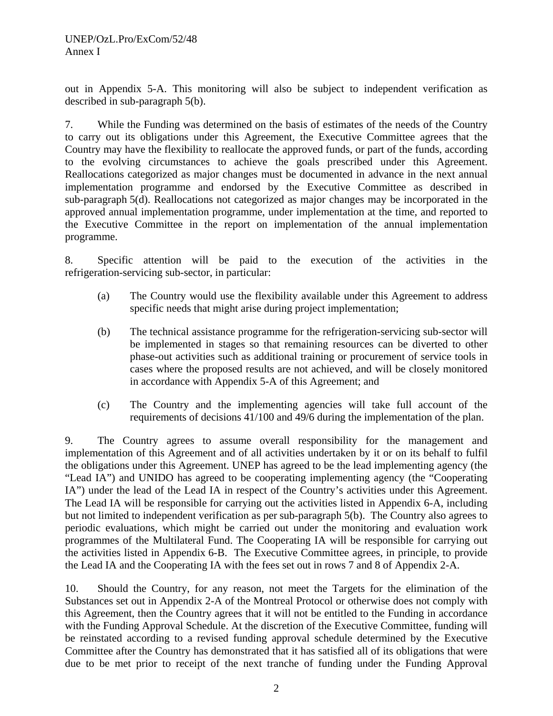out in Appendix 5-A. This monitoring will also be subject to independent verification as described in sub-paragraph 5(b).

7. While the Funding was determined on the basis of estimates of the needs of the Country to carry out its obligations under this Agreement, the Executive Committee agrees that the Country may have the flexibility to reallocate the approved funds, or part of the funds, according to the evolving circumstances to achieve the goals prescribed under this Agreement. Reallocations categorized as major changes must be documented in advance in the next annual implementation programme and endorsed by the Executive Committee as described in sub-paragraph 5(d). Reallocations not categorized as major changes may be incorporated in the approved annual implementation programme, under implementation at the time, and reported to the Executive Committee in the report on implementation of the annual implementation programme.

8. Specific attention will be paid to the execution of the activities in the refrigeration-servicing sub-sector, in particular:

- (a) The Country would use the flexibility available under this Agreement to address specific needs that might arise during project implementation;
- (b) The technical assistance programme for the refrigeration-servicing sub-sector will be implemented in stages so that remaining resources can be diverted to other phase-out activities such as additional training or procurement of service tools in cases where the proposed results are not achieved, and will be closely monitored in accordance with Appendix 5-A of this Agreement; and
- (c) The Country and the implementing agencies will take full account of the requirements of decisions 41/100 and 49/6 during the implementation of the plan.

9. The Country agrees to assume overall responsibility for the management and implementation of this Agreement and of all activities undertaken by it or on its behalf to fulfil the obligations under this Agreement. UNEP has agreed to be the lead implementing agency (the "Lead IA") and UNIDO has agreed to be cooperating implementing agency (the "Cooperating IA") under the lead of the Lead IA in respect of the Country's activities under this Agreement. The Lead IA will be responsible for carrying out the activities listed in Appendix 6-A, including but not limited to independent verification as per sub-paragraph 5(b). The Country also agrees to periodic evaluations, which might be carried out under the monitoring and evaluation work programmes of the Multilateral Fund. The Cooperating IA will be responsible for carrying out the activities listed in Appendix 6-B. The Executive Committee agrees, in principle, to provide the Lead IA and the Cooperating IA with the fees set out in rows 7 and 8 of Appendix 2-A.

10. Should the Country, for any reason, not meet the Targets for the elimination of the Substances set out in Appendix 2-A of the Montreal Protocol or otherwise does not comply with this Agreement, then the Country agrees that it will not be entitled to the Funding in accordance with the Funding Approval Schedule. At the discretion of the Executive Committee, funding will be reinstated according to a revised funding approval schedule determined by the Executive Committee after the Country has demonstrated that it has satisfied all of its obligations that were due to be met prior to receipt of the next tranche of funding under the Funding Approval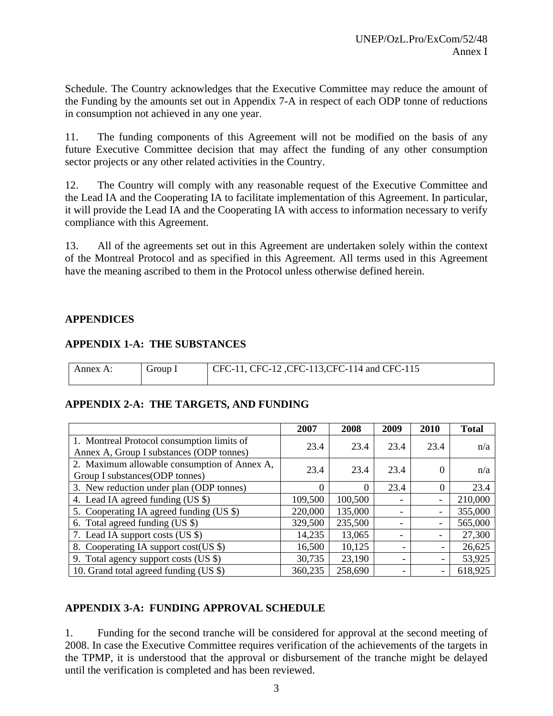Schedule. The Country acknowledges that the Executive Committee may reduce the amount of the Funding by the amounts set out in Appendix 7-A in respect of each ODP tonne of reductions in consumption not achieved in any one year.

11. The funding components of this Agreement will not be modified on the basis of any future Executive Committee decision that may affect the funding of any other consumption sector projects or any other related activities in the Country.

12. The Country will comply with any reasonable request of the Executive Committee and the Lead IA and the Cooperating IA to facilitate implementation of this Agreement. In particular, it will provide the Lead IA and the Cooperating IA with access to information necessary to verify compliance with this Agreement.

13. All of the agreements set out in this Agreement are undertaken solely within the context of the Montreal Protocol and as specified in this Agreement. All terms used in this Agreement have the meaning ascribed to them in the Protocol unless otherwise defined herein.

# **APPENDICES**

# **APPENDIX 1-A: THE SUBSTANCES**

| Annex A: | Group 1 | CFC-11, CFC-12, CFC-113, CFC-114 and CFC-115 |
|----------|---------|----------------------------------------------|
|          |         |                                              |

# **APPENDIX 2-A: THE TARGETS, AND FUNDING**

|                                              | 2007     | 2008     | 2009                     | 2010                     | <b>Total</b> |
|----------------------------------------------|----------|----------|--------------------------|--------------------------|--------------|
| 1. Montreal Protocol consumption limits of   | 23.4     | 23.4     | 23.4                     | 23.4                     | n/a          |
| Annex A, Group I substances (ODP tonnes)     |          |          |                          |                          |              |
| 2. Maximum allowable consumption of Annex A, | 23.4     | 23.4     | 23.4                     |                          |              |
| Group I substances(ODP tonnes)               |          |          |                          | 0                        | n/a          |
| 3. New reduction under plan (ODP tonnes)     | $\theta$ | $\Omega$ | 23.4                     | $\theta$                 | 23.4         |
| 4. Lead IA agreed funding (US \$)            | 109,500  | 100,500  | $\overline{\phantom{0}}$ | $\overline{\phantom{0}}$ | 210,000      |
| 5. Cooperating IA agreed funding (US \$)     | 220,000  | 135,000  | $\overline{\phantom{a}}$ | $\overline{\phantom{a}}$ | 355,000      |
| 6. Total agreed funding (US \$)              | 329,500  | 235,500  | $\overline{\phantom{a}}$ | -                        | 565,000      |
| 7. Lead IA support costs (US \$)             | 14,235   | 13,065   | $\overline{\phantom{a}}$ | -                        | 27,300       |
| 8. Cooperating IA support cost(US \$)        | 16,500   | 10,125   |                          | $\overline{\phantom{0}}$ | 26,625       |
| 9. Total agency support costs (US \$)        | 30,735   | 23,190   |                          | $\overline{\phantom{a}}$ | 53,925       |
| 10. Grand total agreed funding (US \$)       | 360,235  | 258,690  |                          |                          | 618,925      |

# **APPENDIX 3-A: FUNDING APPROVAL SCHEDULE**

1. Funding for the second tranche will be considered for approval at the second meeting of 2008. In case the Executive Committee requires verification of the achievements of the targets in the TPMP, it is understood that the approval or disbursement of the tranche might be delayed until the verification is completed and has been reviewed.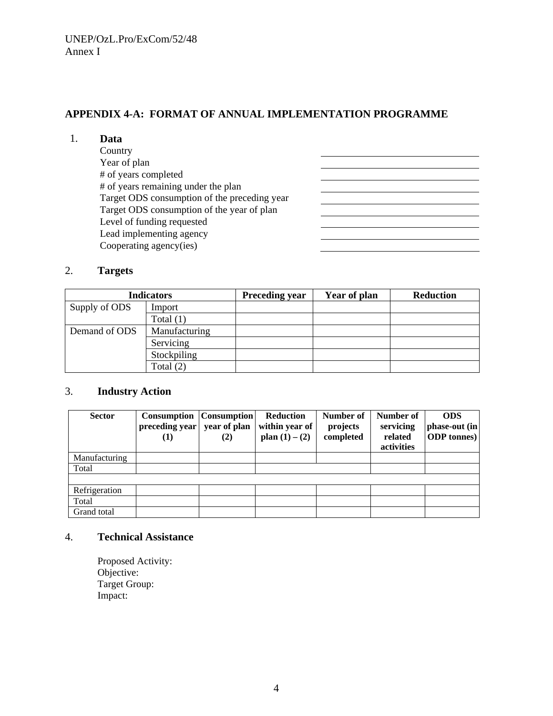## **APPENDIX 4-A: FORMAT OF ANNUAL IMPLEMENTATION PROGRAMME**

<u> 1980 - Johann Barn, mars eta bainar eta idazlea (</u> 

#### 1. **Data**

| Country                                      |  |
|----------------------------------------------|--|
| Year of plan                                 |  |
| # of years completed                         |  |
| # of years remaining under the plan          |  |
| Target ODS consumption of the preceding year |  |
| Target ODS consumption of the year of plan   |  |
| Level of funding requested                   |  |
| Lead implementing agency                     |  |
| Cooperating agency(ies)                      |  |
|                                              |  |

#### 2. **Targets**

|                                | <b>Indicators</b> | <b>Preceding year</b> | Year of plan | <b>Reduction</b> |
|--------------------------------|-------------------|-----------------------|--------------|------------------|
| Supply of ODS<br>Import        |                   |                       |              |                  |
|                                | Total $(1)$       |                       |              |                  |
| Demand of ODS<br>Manufacturing |                   |                       |              |                  |
|                                | Servicing         |                       |              |                  |
|                                | Stockpiling       |                       |              |                  |
| Total $(2)$                    |                   |                       |              |                  |

## 3. **Industry Action**

| <b>Sector</b> | <b>Consumption</b> Consumption<br>preceding year<br>(1) | year of plan<br>(2) | Reduction<br>within year of<br>plan $(1) - (2)$ | Number of<br>projects<br>completed | Number of<br>servicing<br>related<br>activities | <b>ODS</b><br>phase-out (in<br><b>ODP</b> tonnes) |
|---------------|---------------------------------------------------------|---------------------|-------------------------------------------------|------------------------------------|-------------------------------------------------|---------------------------------------------------|
|               |                                                         |                     |                                                 |                                    |                                                 |                                                   |
| Manufacturing |                                                         |                     |                                                 |                                    |                                                 |                                                   |
| Total         |                                                         |                     |                                                 |                                    |                                                 |                                                   |
|               |                                                         |                     |                                                 |                                    |                                                 |                                                   |
| Refrigeration |                                                         |                     |                                                 |                                    |                                                 |                                                   |
| Total         |                                                         |                     |                                                 |                                    |                                                 |                                                   |
| Grand total   |                                                         |                     |                                                 |                                    |                                                 |                                                   |

## 4. **Technical Assistance**

Proposed Activity: Objective: Target Group: Impact: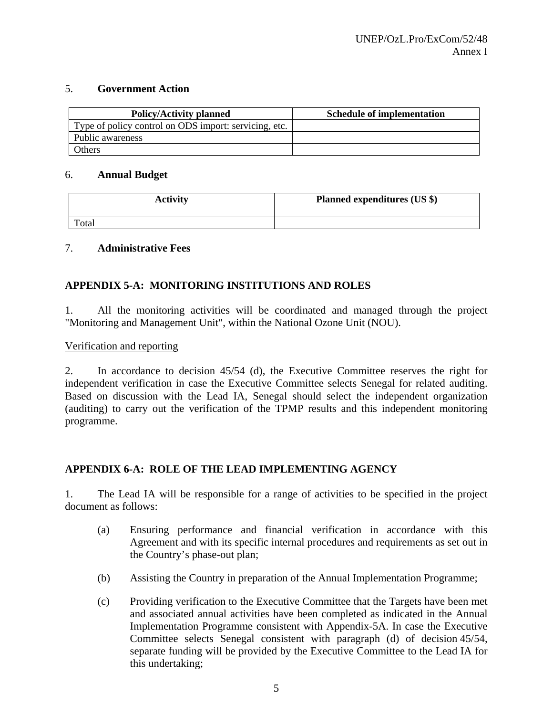## 5. **Government Action**

| <b>Policy/Activity planned</b>                        | <b>Schedule of implementation</b> |
|-------------------------------------------------------|-----------------------------------|
| Type of policy control on ODS import: servicing, etc. |                                   |
| Public awareness                                      |                                   |
| Others                                                |                                   |

## 6. **Annual Budget**

| <b>Activity</b> | <b>Planned expenditures (US \$)</b> |
|-----------------|-------------------------------------|
|                 |                                     |
| Total           |                                     |

## 7. **Administrative Fees**

# **APPENDIX 5-A: MONITORING INSTITUTIONS AND ROLES**

1. All the monitoring activities will be coordinated and managed through the project "Monitoring and Management Unit", within the National Ozone Unit (NOU).

## Verification and reporting

2. In accordance to decision 45/54 (d), the Executive Committee reserves the right for independent verification in case the Executive Committee selects Senegal for related auditing. Based on discussion with the Lead IA, Senegal should select the independent organization (auditing) to carry out the verification of the TPMP results and this independent monitoring programme.

## **APPENDIX 6-A: ROLE OF THE LEAD IMPLEMENTING AGENCY**

1. The Lead IA will be responsible for a range of activities to be specified in the project document as follows:

- (a) Ensuring performance and financial verification in accordance with this Agreement and with its specific internal procedures and requirements as set out in the Country's phase-out plan;
- (b) Assisting the Country in preparation of the Annual Implementation Programme;
- (c) Providing verification to the Executive Committee that the Targets have been met and associated annual activities have been completed as indicated in the Annual Implementation Programme consistent with Appendix-5A. In case the Executive Committee selects Senegal consistent with paragraph (d) of decision 45/54, separate funding will be provided by the Executive Committee to the Lead IA for this undertaking;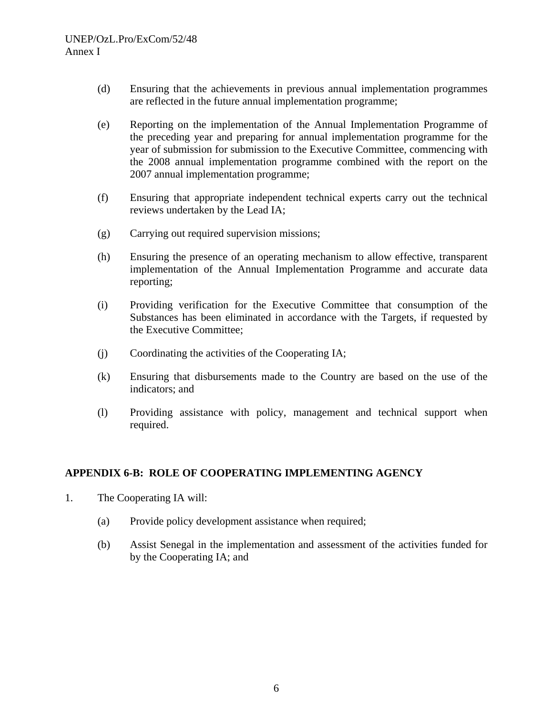- (d) Ensuring that the achievements in previous annual implementation programmes are reflected in the future annual implementation programme;
- (e) Reporting on the implementation of the Annual Implementation Programme of the preceding year and preparing for annual implementation programme for the year of submission for submission to the Executive Committee, commencing with the 2008 annual implementation programme combined with the report on the 2007 annual implementation programme;
- (f) Ensuring that appropriate independent technical experts carry out the technical reviews undertaken by the Lead IA;
- (g) Carrying out required supervision missions;
- (h) Ensuring the presence of an operating mechanism to allow effective, transparent implementation of the Annual Implementation Programme and accurate data reporting;
- (i) Providing verification for the Executive Committee that consumption of the Substances has been eliminated in accordance with the Targets, if requested by the Executive Committee;
- (j) Coordinating the activities of the Cooperating IA;
- (k) Ensuring that disbursements made to the Country are based on the use of the indicators; and
- (l) Providing assistance with policy, management and technical support when required.

## **APPENDIX 6-B: ROLE OF COOPERATING IMPLEMENTING AGENCY**

- 1. The Cooperating IA will:
	- (a) Provide policy development assistance when required;
	- (b) Assist Senegal in the implementation and assessment of the activities funded for by the Cooperating IA; and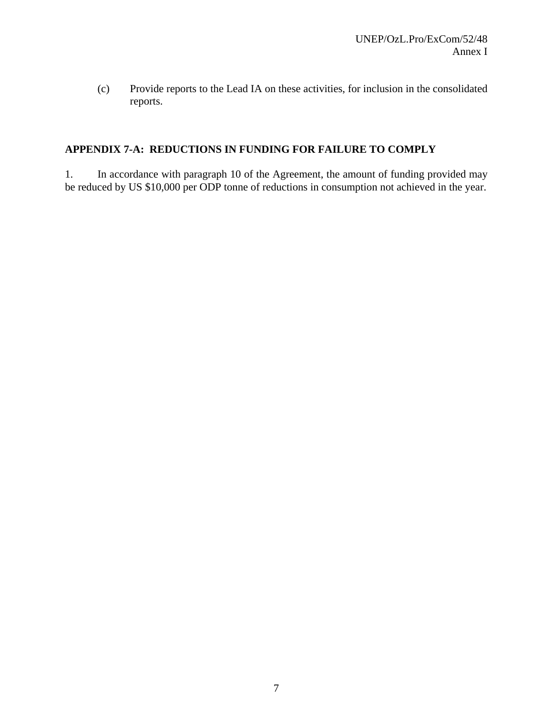(c) Provide reports to the Lead IA on these activities, for inclusion in the consolidated reports.

# **APPENDIX 7-A: REDUCTIONS IN FUNDING FOR FAILURE TO COMPLY**

1. In accordance with paragraph 10 of the Agreement, the amount of funding provided may be reduced by US \$10,000 per ODP tonne of reductions in consumption not achieved in the year.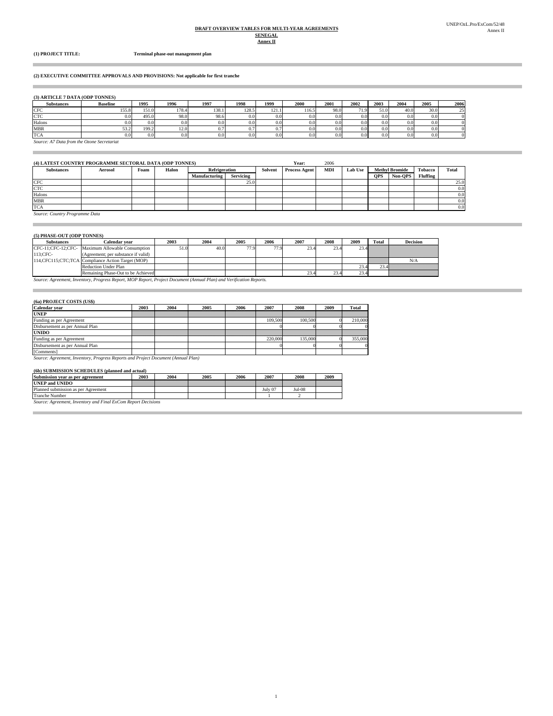#### **DRAFT OVERVIEW TABLES FOR MULTI-YEAR AGREEMENTS SENEGAL**

**Annex II**

i.

Ė

**(1) PROJECT TITLE: Terminal phase-out management plan**

#### **(2) EXECUTIVE COMMITTEE APPROVALS AND PROVISIONS: Not applicable for first tranche**

#### **(3) ARTICLE 7 DATA (ODP TONNES)**

| <b>Substances</b>                          | <b>Baseline</b> | 1995  | 1996  | 1997  | 1998  | 1999  | 2000             | 2001 | 2002 | 2003 | 2004 | 2005             | 2006 |
|--------------------------------------------|-----------------|-------|-------|-------|-------|-------|------------------|------|------|------|------|------------------|------|
| <b>CFC</b>                                 | 155.8           | 151.0 | 178.4 | 138.1 | 128.5 | 121.1 | 116.5            | 98.0 | 71.9 | 51.0 | 40.0 | 30.0             | 251  |
| <b>CTC</b>                                 | 0.01            | 495.0 | 98.0  | 98.6  | 0.0   | 0.0   | 0.0              | 0.0  | 0.0  | 0.01 | 0.0  | 0.0 <sub>1</sub> |      |
| Halons                                     | 0.0             | 0.0   | 0.0   | 0.0   | 0.0   | 0.0   | 0.0 <sub>1</sub> | 0.0  | 0.0  | 0.0  | 0.0  | 0.0 <sub>1</sub> |      |
| <b>MBR</b>                                 | 53.2            | 199.2 | 12.0  | 0.7   |       | 0.7   | 0.0              | 0.0  | 0.0  | 0.0  | 0.0  | 0.0 <sub>1</sub> |      |
| <b>TCA</b>                                 | 0.0             | 0.0   | 0.0   | 0.0   | 0.0   | 0.0   | 0.0              | 0.0  | 0.0  | 0.0  | 0.0  | 0.0 <sub>1</sub> |      |
| Source: A7 Data from the Ozone Secretariat |                 |       |       |       |       |       |                  |      |      |      |      |                  |      |

| (4) LATEST COUNTRY PROGRAMME SECTORAL DATA (ODP TONNES) |         |      |       |               |           |         | Year:                | 2006       |                |                       |         |                |              |
|---------------------------------------------------------|---------|------|-------|---------------|-----------|---------|----------------------|------------|----------------|-----------------------|---------|----------------|--------------|
| <b>Substances</b>                                       | Aerosol | Foam | Halon | Refrigeration |           | Solvent | <b>Process Agent</b> | <b>MDI</b> | <b>Lab Use</b> | <b>Methyl Bromide</b> |         | <b>Tobacco</b> | <b>Total</b> |
|                                                         |         |      |       | Manufacturing | Servicing |         |                      |            |                | <b>OPS</b>            | Non-OPS | Fluffing       |              |
| <b>CFC</b>                                              |         |      |       |               | 25.0      |         |                      |            |                |                       |         |                | 25.0         |
| <b>CTC</b>                                              |         |      |       |               |           |         |                      |            |                |                       |         |                | 0.0          |
| Halons                                                  |         |      |       |               |           |         |                      |            |                |                       |         |                | 0.0          |
| <b>MBR</b>                                              |         |      |       |               |           |         |                      |            |                |                       |         |                | 0.0          |
| <b>TCA</b>                                              |         |      |       |               |           |         |                      |            |                |                       |         |                | 0.0          |

1

*Source: Country Programme Data*

#### **(5) PHASE-OUT (ODP TONNES) Substances Calendar year** 2003 2004 2005 2006 2007 2008 2009 Total<br>
1;CFC-12;CFC- Maximum Allowable Consumption 51.0 40.0 77.9 77.9 23.4 23.4 23.4 2004 2005 2006 2007 2008 2009<br>51.0 40.0 77.9 77.9 23.4 23.4 23 23.4 23.4 23.4 23.4 23.4 Remaining Phase-Out to be Achieved **Decision** N/A Reduction Under Plan 113;CFC-<br>114,CFC115;CTC;TCA Compliance Action Target (MOP) Substances<br>CFC-11;CFC-12;CFC-

*Source: Agreement, Inventory, Progress Report, MOP Report, Project Document (Annual Plan) and Verification Reports.*

#### **(6a) PROJECT COSTS (US\$)**

÷

| Calendar year                                                                     | 2003 | 2004 | 2005                                                                                                           | 2006 | 2007    | 2008    | 2009 | Total   |  |
|-----------------------------------------------------------------------------------|------|------|----------------------------------------------------------------------------------------------------------------|------|---------|---------|------|---------|--|
| <b>UNEP</b>                                                                       |      |      | a a mara Araba a mara a shekarar a mara a shekarar a mara a shekarar a ta ƙasar Afrika Afrika Afrika Afrika Af |      |         |         |      |         |  |
| Funding as per Agreement                                                          |      |      |                                                                                                                |      | 109,500 | 100,500 |      | 210,000 |  |
| Disbursement as per Annual Plan                                                   |      |      |                                                                                                                |      |         |         |      |         |  |
| <b>UNIDO</b>                                                                      |      |      | a an an Aonaichean an an a-mhairtean an Aonaiche an a-mhairtean an an a                                        |      |         |         |      |         |  |
| Funding as per Agreement                                                          |      |      |                                                                                                                |      | 220,000 | 135,000 |      | 355,000 |  |
| Disbursement as per Annual Plan                                                   |      |      |                                                                                                                |      |         |         |      |         |  |
| [Comments]                                                                        |      |      |                                                                                                                |      |         |         |      |         |  |
| Source: Agreement, Inventory, Progress Reports and Project Document (Annual Plan) |      |      |                                                                                                                |      |         |         |      |         |  |

**(6b) SUBMISSION SCHEDULES (planned and actual)**

| торт эстритиклиди эстиргендер тринции ани асиан |      |      |      |      |         |          |      |  |  |  |
|-------------------------------------------------|------|------|------|------|---------|----------|------|--|--|--|
| Submission year as per agreement                | 2003 | 2004 | 2005 | 2006 | 2007    | 2008     | 2009 |  |  |  |
| <b>UNEP and UNIDO</b>                           |      |      |      |      |         |          |      |  |  |  |
| Planned submission as per Agreement             |      |      |      |      | July 07 | $Jul-08$ |      |  |  |  |
| <b>Tranche Number</b>                           |      |      |      |      |         |          |      |  |  |  |
| .<br><b>Contract Contract Contract</b>          |      |      |      |      |         |          |      |  |  |  |

*Source: Agreement, Inventory and Final ExCom Report Decisions*